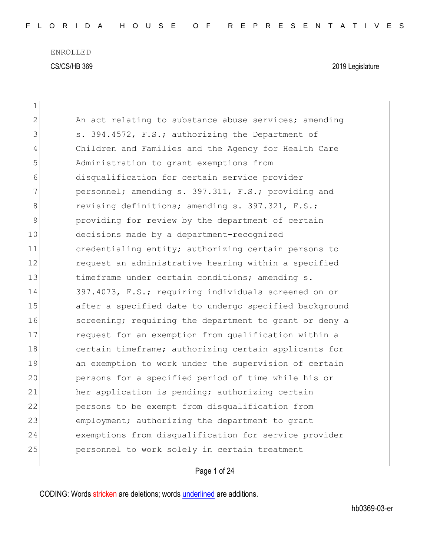| $\mathbf 1$    |                                                        |
|----------------|--------------------------------------------------------|
| $\overline{2}$ | An act relating to substance abuse services; amending  |
| 3              | s. 394.4572, F.S.; authorizing the Department of       |
| 4              | Children and Families and the Agency for Health Care   |
| 5              | Administration to grant exemptions from                |
| 6              | disqualification for certain service provider          |
| 7              | personnel; amending s. 397.311, F.S.; providing and    |
| 8              | revising definitions; amending s. 397.321, F.S.;       |
| 9              | providing for review by the department of certain      |
| 10             | decisions made by a department-recognized              |
| 11             | credentialing entity; authorizing certain persons to   |
| 12             | request an administrative hearing within a specified   |
| 13             | timeframe under certain conditions; amending s.        |
| 14             | 397.4073, F.S.; requiring individuals screened on or   |
| 15             | after a specified date to undergo specified background |
| 16             | screening; requiring the department to grant or deny a |
| 17             | request for an exemption from qualification within a   |
| 18             | certain timeframe; authorizing certain applicants for  |
| 19             | an exemption to work under the supervision of certain  |
| 20             | persons for a specified period of time while his or    |
| 21             | her application is pending; authorizing certain        |
| 22             | persons to be exempt from disqualification from        |
| 23             | employment; authorizing the department to grant        |
| 24             | exemptions from disqualification for service provider  |
| 25             | personnel to work solely in certain treatment          |

Page 1 of 24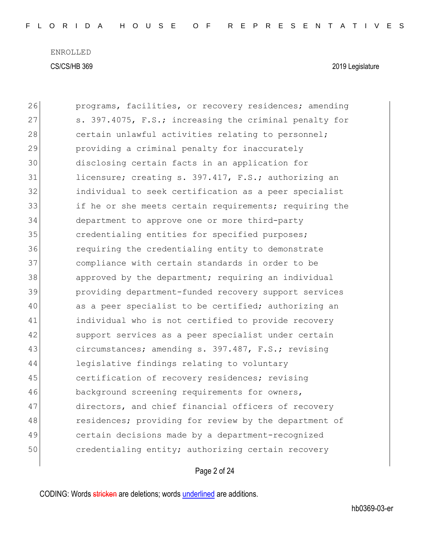| 26 | programs, facilities, or recovery residences; amending |
|----|--------------------------------------------------------|
| 27 | s. 397.4075, F.S.; increasing the criminal penalty for |
| 28 | certain unlawful activities relating to personnel;     |
| 29 | providing a criminal penalty for inaccurately          |
| 30 | disclosing certain facts in an application for         |
| 31 | licensure; creating s. 397.417, F.S.; authorizing an   |
| 32 | individual to seek certification as a peer specialist  |
| 33 | if he or she meets certain requirements; requiring the |
| 34 | department to approve one or more third-party          |
| 35 | credentialing entities for specified purposes;         |
| 36 | requiring the credentialing entity to demonstrate      |
| 37 | compliance with certain standards in order to be       |
| 38 | approved by the department; requiring an individual    |
| 39 | providing department-funded recovery support services  |
| 40 | as a peer specialist to be certified; authorizing an   |
| 41 | individual who is not certified to provide recovery    |
| 42 | support services as a peer specialist under certain    |
| 43 | circumstances; amending s. 397.487, F.S.; revising     |
| 44 | legislative findings relating to voluntary             |
| 45 | certification of recovery residences; revising         |
| 46 | background screening requirements for owners,          |
| 47 | directors, and chief financial officers of recovery    |
| 48 | residences; providing for review by the department of  |
| 49 | certain decisions made by a department-recognized      |
| 50 | credentialing entity; authorizing certain recovery     |
|    |                                                        |

## Page 2 of 24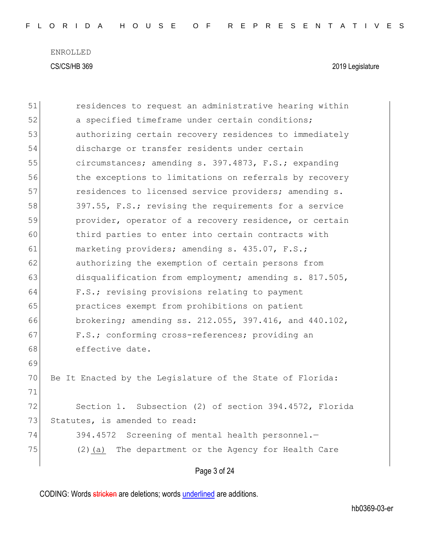| 51 | residences to request an administrative hearing within    |
|----|-----------------------------------------------------------|
| 52 | a specified timeframe under certain conditions;           |
| 53 | authorizing certain recovery residences to immediately    |
| 54 | discharge or transfer residents under certain             |
| 55 | circumstances; amending s. 397.4873, F.S.; expanding      |
| 56 | the exceptions to limitations on referrals by recovery    |
| 57 | residences to licensed service providers; amending s.     |
| 58 | 397.55, F.S.; revising the requirements for a service     |
| 59 | provider, operator of a recovery residence, or certain    |
| 60 | third parties to enter into certain contracts with        |
| 61 | marketing providers; amending s. 435.07, F.S.;            |
| 62 | authorizing the exemption of certain persons from         |
| 63 | disqualification from employment; amending s. 817.505,    |
| 64 | F.S.; revising provisions relating to payment             |
| 65 | practices exempt from prohibitions on patient             |
| 66 | brokering; amending ss. 212.055, 397.416, and 440.102,    |
| 67 | F.S.; conforming cross-references; providing an           |
| 68 | effective date.                                           |
| 69 |                                                           |
| 70 | Be It Enacted by the Legislature of the State of Florida: |
| 71 |                                                           |
| 72 | Section 1. Subsection (2) of section 394.4572, Florida    |
| 73 | Statutes, is amended to read:                             |
| 74 | 394.4572<br>Screening of mental health personnel.-        |
| 75 | The department or the Agency for Health Care<br>$(2)$ (a) |
|    | Page 3 of 24                                              |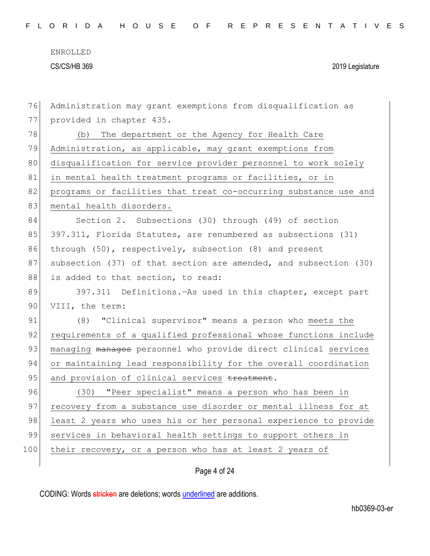| 76  | Administration may grant exemptions from disqualification as     |
|-----|------------------------------------------------------------------|
| 77  | provided in chapter 435.                                         |
| 78  | (b) The department or the Agency for Health Care                 |
| 79  | Administration, as applicable, may grant exemptions from         |
| 80  | disqualification for service provider personnel to work solely   |
| 81  | in mental health treatment programs or facilities, or in         |
| 82  | programs or facilities that treat co-occurring substance use and |
| 83  | mental health disorders.                                         |
| 84  | Section 2. Subsections (30) through (49) of section              |
| 85  | 397.311, Florida Statutes, are renumbered as subsections (31)    |
| 86  | through (50), respectively, subsection (8) and present           |
| 87  | subsection (37) of that section are amended, and subsection (30) |
| 88  | is added to that section, to read:                               |
| 89  | 397.311 Definitions. - As used in this chapter, except part      |
| 90  | VIII, the term:                                                  |
| 91  | (8) "Clinical supervisor" means a person who meets the           |
| 92  | requirements of a qualified professional whose functions include |
| 93  | managing manages personnel who provide direct clinical services  |
| 94  | or maintaining lead responsibility for the overall coordination  |
| 95  | and provision of clinical services treatment.                    |
| 96  | (30) "Peer specialist" means a person who has been in            |
| 97  | recovery from a substance use disorder or mental illness for at  |
| 98  | least 2 years who uses his or her personal experience to provide |
| 99  | services in behavioral health settings to support others in      |
| 100 | their recovery, or a person who has at least 2 years of          |
|     |                                                                  |

## Page 4 of 24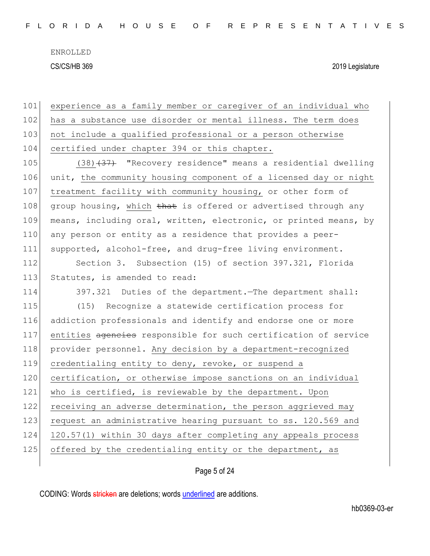| 101 | experience as a family member or caregiver of an individual who  |
|-----|------------------------------------------------------------------|
| 102 | has a substance use disorder or mental illness. The term does    |
| 103 | not include a qualified professional or a person otherwise       |
| 104 | certified under chapter 394 or this chapter.                     |
| 105 | $(38)$ $(37)$ "Recovery residence" means a residential dwelling  |
| 106 | unit, the community housing component of a licensed day or night |
| 107 | treatment facility with community housing, or other form of      |
| 108 | group housing, which that is offered or advertised through any   |
| 109 | means, including oral, written, electronic, or printed means, by |
| 110 | any person or entity as a residence that provides a peer-        |
| 111 | supported, alcohol-free, and drug-free living environment.       |
| 112 | Section 3. Subsection (15) of section 397.321, Florida           |
| 113 | Statutes, is amended to read:                                    |
| 114 | 397.321 Duties of the department. The department shall:          |
| 115 | (15) Recognize a statewide certification process for             |
| 116 | addiction professionals and identify and endorse one or more     |
| 117 | entities agencies responsible for such certification of service  |
| 118 | provider personnel. Any decision by a department-recognized      |
| 119 | credentialing entity to deny, revoke, or suspend a               |
| 120 | certification, or otherwise impose sanctions on an individual    |
| 121 | who is certified, is reviewable by the department. Upon          |
| 122 | receiving an adverse determination, the person aggrieved may     |
| 123 | request an administrative hearing pursuant to ss. 120.569 and    |
| 124 | 120.57(1) within 30 days after completing any appeals process    |
| 125 | offered by the credentialing entity or the department, as        |
|     |                                                                  |

Page 5 of 24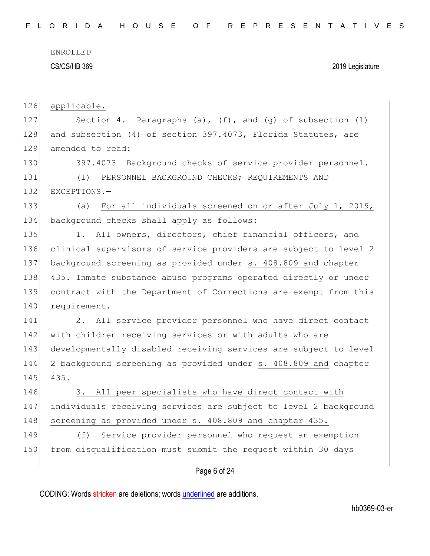ENROLLED

#### CS/CS/HB 369 2019 Legislature

126 applicable.

127 Section 4. Paragraphs (a), (f), and (g) of subsection (1) 128 and subsection (4) of section 397.4073, Florida Statutes, are 129 amended to read:

130 397.4073 Background checks of service provider personnel. 131 (1) PERSONNEL BACKGROUND CHECKS; REQUIREMENTS AND 132 EXCEPTIONS.-

133 (a) For all individuals screened on or after July 1, 2019, 134 background checks shall apply as follows:

135 1. All owners, directors, chief financial officers, and 136 clinical supervisors of service providers are subject to level 2 137 background screening as provided under s. 408.809 and chapter 138 435. Inmate substance abuse programs operated directly or under 139 contract with the Department of Corrections are exempt from this 140 requirement.

141 2. All service provider personnel who have direct contact 142 with children receiving services or with adults who are 143 developmentally disabled receiving services are subject to level 144 2 background screening as provided under s. 408.809 and chapter 145 435.

146 3. All peer specialists who have direct contact with 147 individuals receiving services are subject to level 2 background 148 screening as provided under s. 408.809 and chapter 435.

149 (f) Service provider personnel who request an exemption 150 from disqualification must submit the request within 30 days

### Page 6 of 24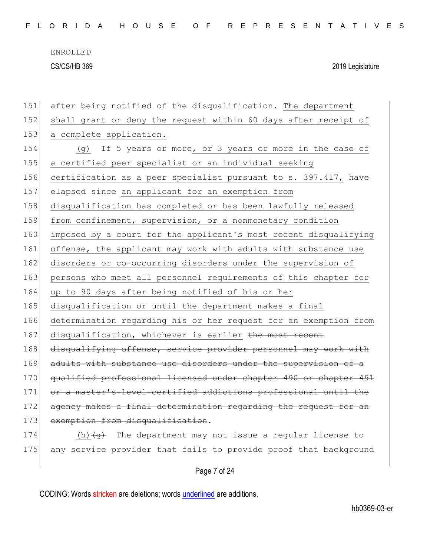|  |  |  | FLORIDA HOUSE OF REPRESENTATIVES |  |  |  |  |  |  |  |  |  |  |  |  |  |
|--|--|--|----------------------------------|--|--|--|--|--|--|--|--|--|--|--|--|--|
|  |  |  |                                  |  |  |  |  |  |  |  |  |  |  |  |  |  |

| 151 | after being notified of the disqualification. The department                  |
|-----|-------------------------------------------------------------------------------|
| 152 | shall grant or deny the request within 60 days after receipt of               |
| 153 | a complete application.                                                       |
| 154 | If 5 years or more, or 3 years or more in the case of<br>(g)                  |
| 155 | a certified peer specialist or an individual seeking                          |
| 156 | certification as a peer specialist pursuant to s. 397.417, have               |
| 157 | elapsed since an applicant for an exemption from                              |
| 158 | disqualification has completed or has been lawfully released                  |
| 159 | from confinement, supervision, or a nonmonetary condition                     |
| 160 | imposed by a court for the applicant's most recent disqualifying              |
| 161 | offense, the applicant may work with adults with substance use                |
| 162 | disorders or co-occurring disorders under the supervision of                  |
| 163 | persons who meet all personnel requirements of this chapter for               |
| 164 | up to 90 days after being notified of his or her                              |
| 165 | disqualification or until the department makes a final                        |
| 166 | determination regarding his or her request for an exemption from              |
| 167 | disqualification, whichever is earlier the most recent                        |
| 168 | disqualifying offense, service provider personnel may work with               |
| 169 | adults with substance use disorders under the supervision of a                |
| 170 | qualified professional licensed under chapter 490 or chapter 491              |
| 171 | or a master's-level-certified addictions professional until the               |
| 172 | agency makes a final determination regarding the request for an               |
| 173 | exemption from disqualification.                                              |
| 174 | (h) $\left( \theta \right)$ The department may not issue a regular license to |
| 175 | any service provider that fails to provide proof that background              |

Page 7 of 24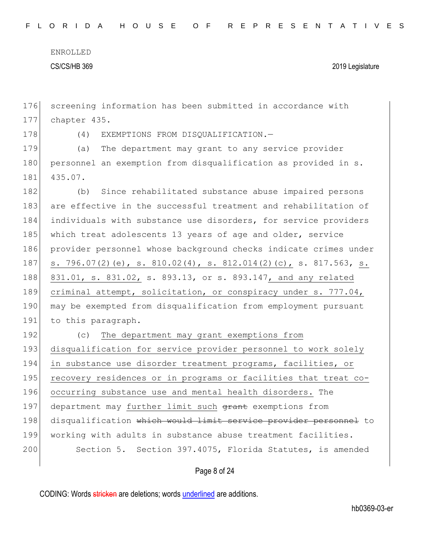176 screening information has been submitted in accordance with 177 chapter 435.

178 (4) EXEMPTIONS FROM DISQUALIFICATION.

179 (a) The department may grant to any service provider 180 personnel an exemption from disqualification as provided in s. 181 435.07.

182 (b) Since rehabilitated substance abuse impaired persons 183 are effective in the successful treatment and rehabilitation of 184 individuals with substance use disorders, for service providers 185 which treat adolescents 13 years of age and older, service 186 provider personnel whose background checks indicate crimes under 187 s. 796.07(2)(e), s. 810.02(4), s. 812.014(2)(c), s. 817.563, s. 188 831.01, s. 831.02, s. 893.13, or s. 893.147, and any related 189 criminal attempt, solicitation, or conspiracy under s. 777.04, 190 may be exempted from disqualification from employment pursuant 191 to this paragraph.

192 (c) The department may grant exemptions from 193 disqualification for service provider personnel to work solely 194 in substance use disorder treatment programs, facilities, or 195 recovery residences or in programs or facilities that treat co-196 occurring substance use and mental health disorders. The 197 department may further limit such grant exemptions from 198 disqualification which would limit service provider personnel to 199 working with adults in substance abuse treatment facilities. 200 Section 5. Section 397.4075, Florida Statutes, is amended

Page 8 of 24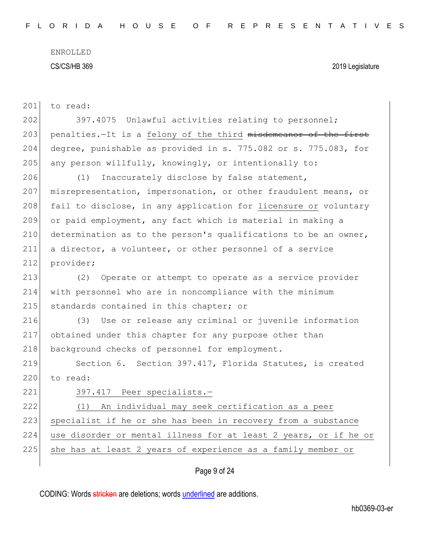| 201 | to read:                                                         |
|-----|------------------------------------------------------------------|
| 202 | 397.4075 Unlawful activities relating to personnel;              |
| 203 | penalties.-It is a felony of the third misdemeanor of the first  |
| 204 | degree, punishable as provided in s. 775.082 or s. 775.083, for  |
| 205 | any person willfully, knowingly, or intentionally to:            |
| 206 | (1)<br>Inaccurately disclose by false statement,                 |
| 207 | misrepresentation, impersonation, or other fraudulent means, or  |
| 208 | fail to disclose, in any application for licensure or voluntary  |
| 209 | or paid employment, any fact which is material in making a       |
| 210 | determination as to the person's qualifications to be an owner,  |
| 211 | a director, a volunteer, or other personnel of a service         |
| 212 | provider;                                                        |
| 213 | Operate or attempt to operate as a service provider<br>(2)       |
| 214 | with personnel who are in noncompliance with the minimum         |
| 215 | standards contained in this chapter; or                          |
| 216 | Use or release any criminal or juvenile information<br>(3)       |
| 217 | obtained under this chapter for any purpose other than           |
| 218 | background checks of personnel for employment.                   |
| 219 | Section 6. Section 397.417, Florida Statutes, is created         |
| 220 | to read:                                                         |
| 221 | 397.417 Peer specialists.-                                       |
| 222 | An individual may seek certification as a peer<br>(1)            |
| 223 | specialist if he or she has been in recovery from a substance    |
| 224 | use disorder or mental illness for at least 2 years, or if he or |
| 225 | she has at least 2 years of experience as a family member or     |
|     |                                                                  |

Page 9 of 24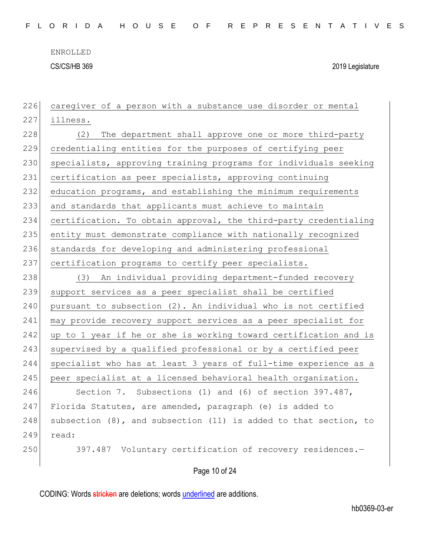ENROLLED

CS/CS/HB 369 2019 Legislature

226 caregiver of a person with a substance use disorder or mental 227 illness. 228 (2) The department shall approve one or more third-party 229 credentialing entities for the purposes of certifying peer 230 specialists, approving training programs for individuals seeking 231 certification as peer specialists, approving continuing 232 education programs, and establishing the minimum requirements 233 and standards that applicants must achieve to maintain 234 certification. To obtain approval, the third-party credentialing 235 entity must demonstrate compliance with nationally recognized 236 standards for developing and administering professional 237 certification programs to certify peer specialists. 238 (3) An individual providing department-funded recovery 239 support services as a peer specialist shall be certified  $240$  pursuant to subsection  $(2)$ . An individual who is not certified 241 may provide recovery support services as a peer specialist for 242 up to 1 year if he or she is working toward certification and is 243 | supervised by a qualified professional or by a certified peer 244 specialist who has at least 3 years of full-time experience as a 245 peer specialist at a licensed behavioral health organization. 246 Section 7. Subsections (1) and (6) of section 397.487, 247 Florida Statutes, are amended, paragraph (e) is added to 248 subsection  $(8)$ , and subsection  $(11)$  is added to that section, to 249 read: 250 397.487 Voluntary certification of recovery residences.-

Page 10 of 24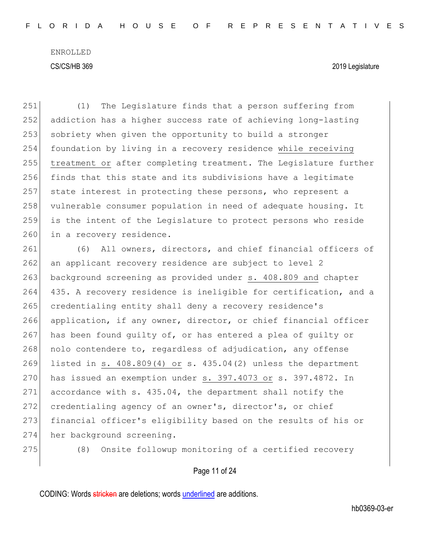251 (1) The Legislature finds that a person suffering from 252 addiction has a higher success rate of achieving long-lasting 253 sobriety when given the opportunity to build a stronger 254 foundation by living in a recovery residence while receiving 255 treatment or after completing treatment. The Legislature further 256 finds that this state and its subdivisions have a legitimate 257 state interest in protecting these persons, who represent a 258 vulnerable consumer population in need of adequate housing. It 259 is the intent of the Legislature to protect persons who reside 260 in a recovery residence. 261 (6) All owners, directors, and chief financial officers of 262 an applicant recovery residence are subject to level 2 263 background screening as provided under s. 408.809 and chapter 264 435. A recovery residence is ineligible for certification, and a 265 credentialing entity shall deny a recovery residence's 266 application, if any owner, director, or chief financial officer 267 has been found guilty of, or has entered a plea of guilty or 268 nolo contendere to, regardless of adjudication, any offense 269 listed in s. 408.809(4) or s. 435.04(2) unless the department  $270$  has issued an exemption under s. 397.4073 or s. 397.4872. In 271 accordance with s. 435.04, the department shall notify the 272 credentialing agency of an owner's, director's, or chief 273 financial officer's eligibility based on the results of his or 274 her background screening.

275 (8) Onsite followup monitoring of a certified recovery

#### Page 11 of 24

CODING: Words stricken are deletions; words underlined are additions.

hb0369-03-er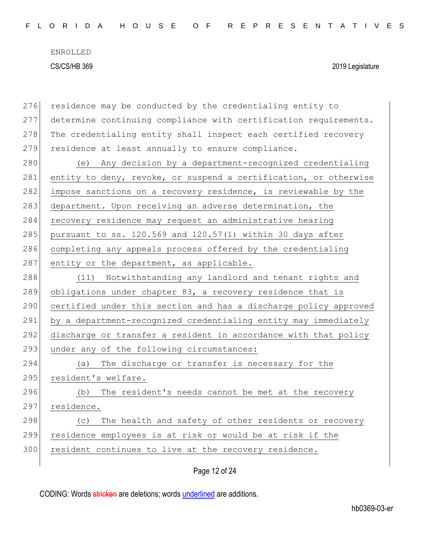| 276 | residence may be conducted by the credentialing entity to        |
|-----|------------------------------------------------------------------|
| 277 | determine continuing compliance with certification requirements. |
| 278 | The credentialing entity shall inspect each certified recovery   |
| 279 | residence at least annually to ensure compliance.                |
| 280 | Any decision by a department-recognized credentialing<br>(e)     |
| 281 | entity to deny, revoke, or suspend a certification, or otherwise |
| 282 | impose sanctions on a recovery residence, is reviewable by the   |
| 283 | department. Upon receiving an adverse determination, the         |
| 284 | recovery residence may request an administrative hearing         |
| 285 | pursuant to ss. 120.569 and 120.57(1) within 30 days after       |
| 286 | completing any appeals process offered by the credentialing      |
| 287 | entity or the department, as applicable.                         |
| 288 | Notwithstanding any landlord and tenant rights and<br>(11)       |
| 289 | obligations under chapter 83, a recovery residence that is       |
| 290 | certified under this section and has a discharge policy approved |
| 291 | by a department-recognized credentialing entity may immediately  |
| 292 | discharge or transfer a resident in accordance with that policy  |
| 293 | under any of the following circumstances:                        |
| 294 | The discharge or transfer is necessary for the<br>(a)            |
| 295 | resident's welfare.                                              |
|     |                                                                  |
| 296 | The resident's needs cannot be met at the recovery<br>(b)        |
| 297 | residence.                                                       |
| 298 | The health and safety of other residents or recovery<br>(C)      |
| 299 | residence employees is at risk or would be at risk if the        |
| 300 | resident continues to live at the recovery residence.            |

Page 12 of 24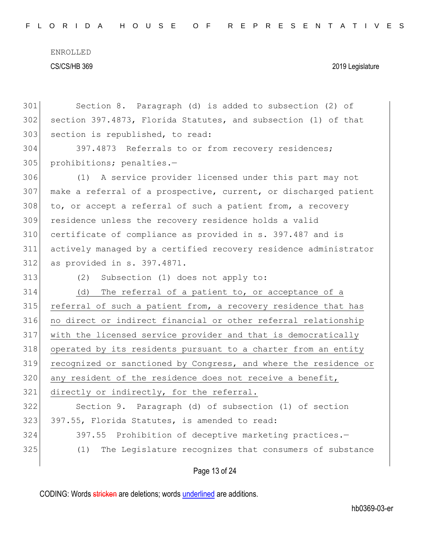| 301 | Section 8. Paragraph (d) is added to subsection (2) of           |
|-----|------------------------------------------------------------------|
| 302 | section 397.4873, Florida Statutes, and subsection (1) of that   |
| 303 | section is republished, to read:                                 |
| 304 | 397.4873 Referrals to or from recovery residences;               |
| 305 | prohibitions; penalties.-                                        |
| 306 | A service provider licensed under this part may not<br>(1)       |
| 307 | make a referral of a prospective, current, or discharged patient |
| 308 | to, or accept a referral of such a patient from, a recovery      |
| 309 | residence unless the recovery residence holds a valid            |
| 310 | certificate of compliance as provided in s. 397.487 and is       |
| 311 | actively managed by a certified recovery residence administrator |
| 312 | as provided in s. 397.4871.                                      |
| 313 | Subsection (1) does not apply to:<br>(2)                         |
|     |                                                                  |
| 314 | The referral of a patient to, or acceptance of a<br>(d)          |
| 315 | referral of such a patient from, a recovery residence that has   |
| 316 | no direct or indirect financial or other referral relationship   |
| 317 | with the licensed service provider and that is democratically    |
| 318 | operated by its residents pursuant to a charter from an entity   |
| 319 | recognized or sanctioned by Congress, and where the residence or |
| 320 | any resident of the residence does not receive a benefit,        |
| 321 | directly or indirectly, for the referral.                        |
| 322 | Section 9. Paragraph (d) of subsection (1) of section            |
| 323 | 397.55, Florida Statutes, is amended to read:                    |
| 324 | 397.55 Prohibition of deceptive marketing practices.-            |
| 325 | The Legislature recognizes that consumers of substance<br>(1)    |

# Page 13 of 24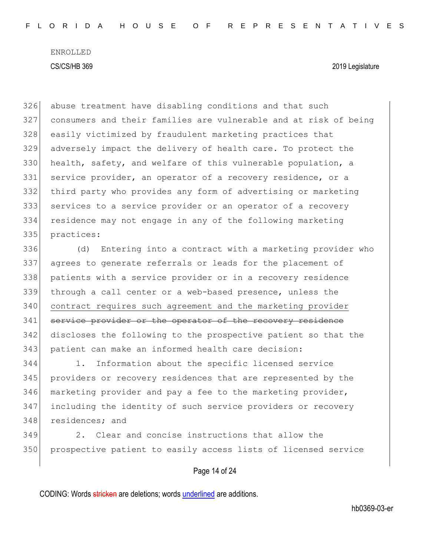abuse treatment have disabling conditions and that such consumers and their families are vulnerable and at risk of being easily victimized by fraudulent marketing practices that adversely impact the delivery of health care. To protect the 330 health, safety, and welfare of this vulnerable population, a 331 service provider, an operator of a recovery residence, or a third party who provides any form of advertising or marketing services to a service provider or an operator of a recovery residence may not engage in any of the following marketing practices: (d) Entering into a contract with a marketing provider who agrees to generate referrals or leads for the placement of patients with a service provider or in a recovery residence

 through a call center or a web-based presence, unless the contract requires such agreement and the marketing provider 341 service provider or the operator of the recovery residence discloses the following to the prospective patient so that the 343 patient can make an informed health care decision:

 1. Information about the specific licensed service providers or recovery residences that are represented by the marketing provider and pay a fee to the marketing provider, including the identity of such service providers or recovery residences; and

 2. Clear and concise instructions that allow the prospective patient to easily access lists of licensed service

### Page 14 of 24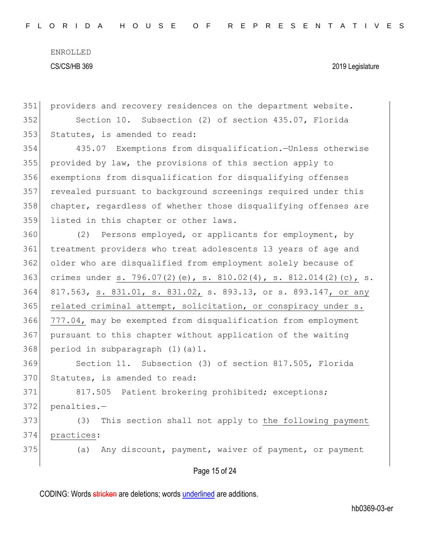| 351 | providers and recovery residences on the department website.     |
|-----|------------------------------------------------------------------|
| 352 | Section 10. Subsection (2) of section 435.07, Florida            |
| 353 | Statutes, is amended to read:                                    |
| 354 | 435.07 Exemptions from disqualification.-Unless otherwise        |
| 355 | provided by law, the provisions of this section apply to         |
| 356 | exemptions from disqualification for disqualifying offenses      |
| 357 | revealed pursuant to background screenings required under this   |
| 358 | chapter, regardless of whether those disqualifying offenses are  |
| 359 | listed in this chapter or other laws.                            |
| 360 | (2) Persons employed, or applicants for employment, by           |
| 361 | treatment providers who treat adolescents 13 years of age and    |
| 362 | older who are disqualified from employment solely because of     |
| 363 | crimes under s. 796.07(2)(e), s. 810.02(4), s. 812.014(2)(c), s. |
| 364 | 817.563, s. 831.01, s. 831.02, s. 893.13, or s. 893.147, or any  |
| 365 | related criminal attempt, solicitation, or conspiracy under s.   |
| 366 | 777.04, may be exempted from disqualification from employment    |
| 367 | pursuant to this chapter without application of the waiting      |
| 368 | period in subparagraph (1)(a)1.                                  |
| 369 | Section 11. Subsection (3) of section 817.505, Florida           |
| 370 | Statutes, is amended to read:                                    |
| 371 | 817.505 Patient brokering prohibited; exceptions;                |
| 372 | penalties.-                                                      |
| 373 | This section shall not apply to the following payment<br>(3)     |
| 374 | practices:                                                       |
| 375 | Any discount, payment, waiver of payment, or payment<br>(a)      |
|     | Page 15 of 24                                                    |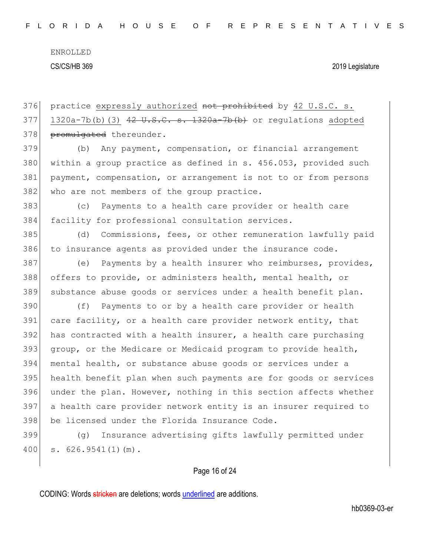Page 16 of 24 376 practice expressly authorized not prohibited by 42 U.S.C. s. 1320a-7b(b)(3)  $42 \text{ U.S.C. s. } 1320a$ -7b(b) or regulations adopted 378 promulgated thereunder. (b) Any payment, compensation, or financial arrangement 380 | within a group practice as defined in s. 456.053, provided such payment, compensation, or arrangement is not to or from persons 382 who are not members of the group practice. (c) Payments to a health care provider or health care facility for professional consultation services. (d) Commissions, fees, or other remuneration lawfully paid to insurance agents as provided under the insurance code. (e) Payments by a health insurer who reimburses, provides, offers to provide, or administers health, mental health, or substance abuse goods or services under a health benefit plan. (f) Payments to or by a health care provider or health 391 care facility, or a health care provider network entity, that has contracted with a health insurer, a health care purchasing 393 group, or the Medicare or Medicaid program to provide health, mental health, or substance abuse goods or services under a health benefit plan when such payments are for goods or services under the plan. However, nothing in this section affects whether a health care provider network entity is an insurer required to be licensed under the Florida Insurance Code. (g) Insurance advertising gifts lawfully permitted under s. 626.9541(1)(m).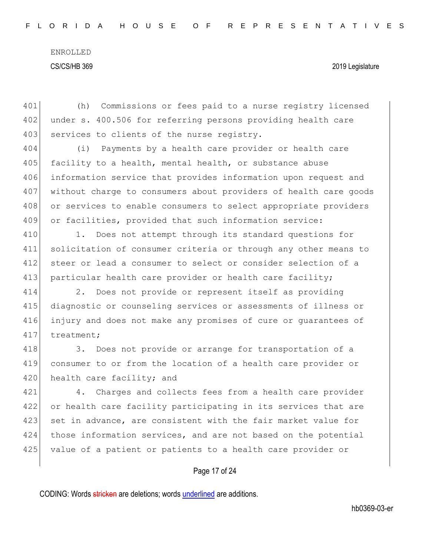401 (h) Commissions or fees paid to a nurse registry licensed 402 under s. 400.506 for referring persons providing health care 403 services to clients of the nurse registry.

 (i) Payments by a health care provider or health care 405 facility to a health, mental health, or substance abuse information service that provides information upon request and without charge to consumers about providers of health care goods 408 or services to enable consumers to select appropriate providers or facilities, provided that such information service:

410 1. Does not attempt through its standard questions for 411 solicitation of consumer criteria or through any other means to 412 steer or lead a consumer to select or consider selection of a 413 particular health care provider or health care facility;

 2. Does not provide or represent itself as providing diagnostic or counseling services or assessments of illness or injury and does not make any promises of cure or guarantees of 417 treatment;

418 3. Does not provide or arrange for transportation of a 419 consumer to or from the location of a health care provider or 420 health care facility; and

421 4. Charges and collects fees from a health care provider 422 or health care facility participating in its services that are 423 set in advance, are consistent with the fair market value for 424 those information services, and are not based on the potential 425 value of a patient or patients to a health care provider or

#### Page 17 of 24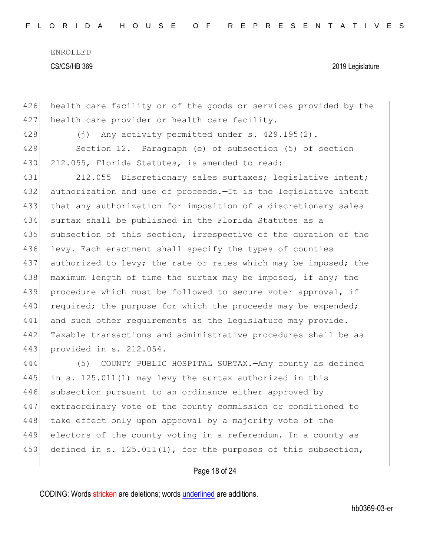426 health care facility or of the goods or services provided by the 427 health care provider or health care facility.

428 (j) Any activity permitted under s. 429.195(2).

429 Section 12. Paragraph (e) of subsection (5) of section 430 212.055, Florida Statutes, is amended to read:

431 212.055 Discretionary sales surtaxes; legislative intent; 432 authorization and use of proceeds.—It is the legislative intent 433 that any authorization for imposition of a discretionary sales 434 surtax shall be published in the Florida Statutes as a 435 subsection of this section, irrespective of the duration of the 436 levy. Each enactment shall specify the types of counties 437 authorized to levy; the rate or rates which may be imposed; the 438 maximum length of time the surtax may be imposed, if any; the 439 procedure which must be followed to secure voter approval, if 440 required; the purpose for which the proceeds may be expended; 441 and such other requirements as the Legislature may provide. 442 Taxable transactions and administrative procedures shall be as 443 provided in s. 212.054.

444 (5) COUNTY PUBLIC HOSPITAL SURTAX.—Any county as defined 445 in s. 125.011(1) may levy the surtax authorized in this 446 subsection pursuant to an ordinance either approved by 447 extraordinary vote of the county commission or conditioned to 448 take effect only upon approval by a majority vote of the 449 electors of the county voting in a referendum. In a county as 450 defined in s. 125.011(1), for the purposes of this subsection,

### Page 18 of 24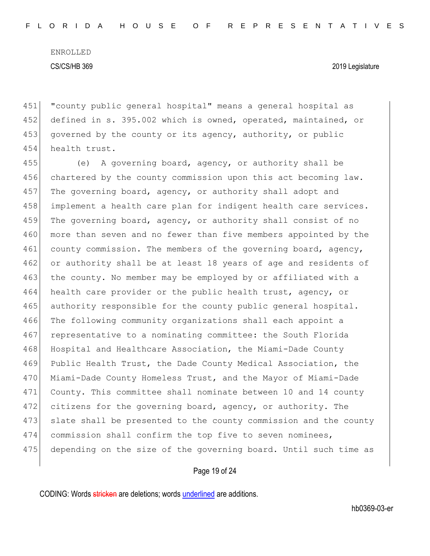451 "county public general hospital" means a general hospital as 452 defined in s. 395.002 which is owned, operated, maintained, or 453 governed by the county or its agency, authority, or public 454 health trust.

455 (e) A governing board, agency, or authority shall be 456 chartered by the county commission upon this act becoming law. 457 The governing board, agency, or authority shall adopt and 458 implement a health care plan for indigent health care services. 459 The governing board, agency, or authority shall consist of no 460 more than seven and no fewer than five members appointed by the 461 county commission. The members of the governing board, agency, 462 or authority shall be at least 18 years of age and residents of 463 the county. No member may be employed by or affiliated with a 464 health care provider or the public health trust, agency, or 465 authority responsible for the county public general hospital. 466 The following community organizations shall each appoint a 467 representative to a nominating committee: the South Florida 468 Hospital and Healthcare Association, the Miami-Dade County 469 Public Health Trust, the Dade County Medical Association, the 470 Miami-Dade County Homeless Trust, and the Mayor of Miami-Dade 471 County. This committee shall nominate between 10 and 14 county 472 citizens for the governing board, agency, or authority. The 473 slate shall be presented to the county commission and the county 474 commission shall confirm the top five to seven nominees, 475 depending on the size of the governing board. Until such time as

#### Page 19 of 24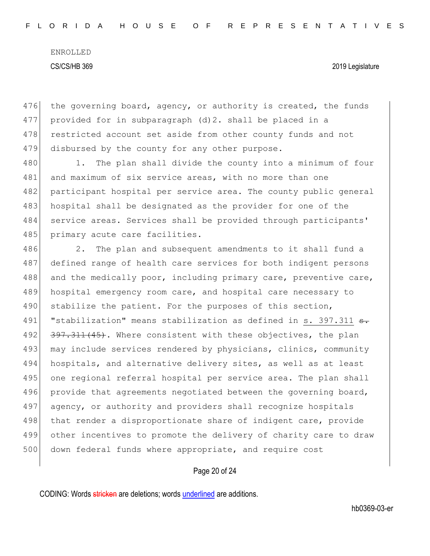476 the governing board, agency, or authority is created, the funds 477 provided for in subparagraph  $(d)$  2. shall be placed in a 478 restricted account set aside from other county funds and not 479 disbursed by the county for any other purpose.

480 1. The plan shall divide the county into a minimum of four 481 and maximum of six service areas, with no more than one 482 participant hospital per service area. The county public general 483 hospital shall be designated as the provider for one of the 484 service areas. Services shall be provided through participants' 485 primary acute care facilities.

486 2. The plan and subsequent amendments to it shall fund a 487 defined range of health care services for both indigent persons 488 and the medically poor, including primary care, preventive care, 489 hospital emergency room care, and hospital care necessary to 490 stabilize the patient. For the purposes of this section, 491 | "stabilization" means stabilization as defined in s. 397.311 <del>s.</del> 492 397.311(45). Where consistent with these objectives, the plan 493 may include services rendered by physicians, clinics, community 494 hospitals, and alternative delivery sites, as well as at least 495 one regional referral hospital per service area. The plan shall 496 provide that agreements negotiated between the governing board, 497 agency, or authority and providers shall recognize hospitals 498 that render a disproportionate share of indigent care, provide 499 other incentives to promote the delivery of charity care to draw 500 down federal funds where appropriate, and require cost

#### Page 20 of 24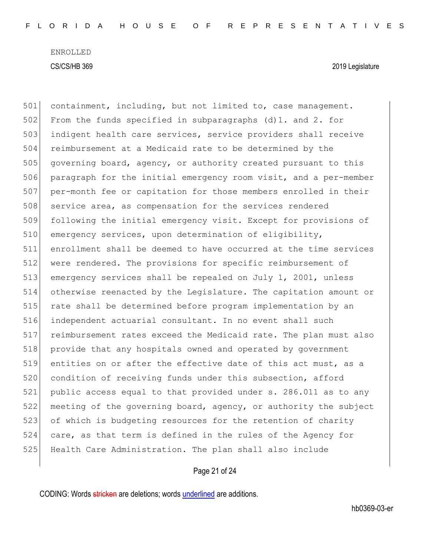501 containment, including, but not limited to, case management. 502 From the funds specified in subparagraphs  $(d)1.$  and 2. for 503 indigent health care services, service providers shall receive 504 reimbursement at a Medicaid rate to be determined by the 505 governing board, agency, or authority created pursuant to this 506 paragraph for the initial emergency room visit, and a per-member 507 per-month fee or capitation for those members enrolled in their 508 service area, as compensation for the services rendered 509 following the initial emergency visit. Except for provisions of 510 emergency services, upon determination of eligibility, 511 enrollment shall be deemed to have occurred at the time services 512 were rendered. The provisions for specific reimbursement of 513 emergency services shall be repealed on July 1, 2001, unless 514 otherwise reenacted by the Legislature. The capitation amount or 515 rate shall be determined before program implementation by an 516 independent actuarial consultant. In no event shall such 517 reimbursement rates exceed the Medicaid rate. The plan must also 518 provide that any hospitals owned and operated by government 519 entities on or after the effective date of this act must, as a 520 condition of receiving funds under this subsection, afford 521 public access equal to that provided under s. 286.011 as to any 522 meeting of the governing board, agency, or authority the subject 523 of which is budgeting resources for the retention of charity 524 care, as that term is defined in the rules of the Agency for 525 Health Care Administration. The plan shall also include

#### Page 21 of 24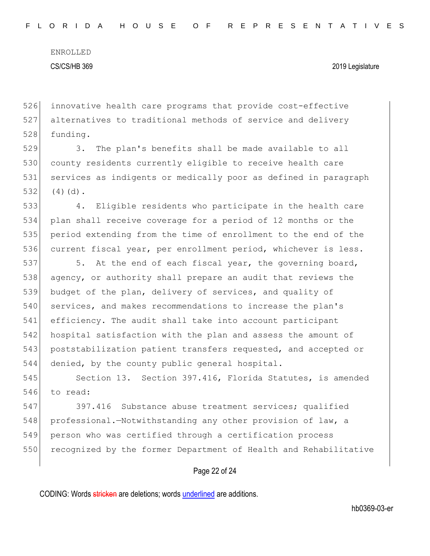526 innovative health care programs that provide cost-effective 527 alternatives to traditional methods of service and delivery 528 funding.

529 3. The plan's benefits shall be made available to all 530 county residents currently eligible to receive health care 531 services as indigents or medically poor as defined in paragraph  $532$  (4)(d).

 4. Eligible residents who participate in the health care plan shall receive coverage for a period of 12 months or the period extending from the time of enrollment to the end of the current fiscal year, per enrollment period, whichever is less.

537 5. At the end of each fiscal year, the governing board, 538 agency, or authority shall prepare an audit that reviews the 539 budget of the plan, delivery of services, and quality of 540 services, and makes recommendations to increase the plan's 541 efficiency. The audit shall take into account participant 542 hospital satisfaction with the plan and assess the amount of 543 poststabilization patient transfers requested, and accepted or 544 denied, by the county public general hospital.

545 Section 13. Section 397.416, Florida Statutes, is amended 546 to read:

547 397.416 Substance abuse treatment services; qualified 548 professional.—Notwithstanding any other provision of law, a 549 person who was certified through a certification process 550 recognized by the former Department of Health and Rehabilitative

#### Page 22 of 24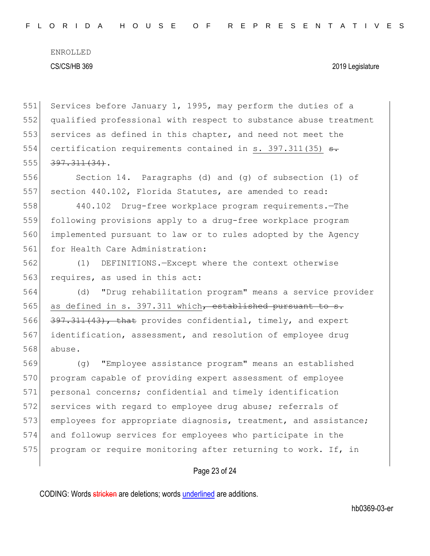Page 23 of 24 551 Services before January 1, 1995, may perform the duties of a 552 qualified professional with respect to substance abuse treatment 553 services as defined in this chapter, and need not meet the 554 certification requirements contained in s. 397.311(35)  $\epsilon$ .  $555$   $397.311(34)$ . 556 Section 14. Paragraphs (d) and (g) of subsection (1) of 557 section 440.102, Florida Statutes, are amended to read: 558 440.102 Drug-free workplace program requirements.—The 559 following provisions apply to a drug-free workplace program 560 implemented pursuant to law or to rules adopted by the Agency 561 for Health Care Administration: 562 (1) DEFINITIONS.—Except where the context otherwise 563 requires, as used in this act: 564 (d) "Drug rehabilitation program" means a service provider 565 as defined in s. 397.311 which, established pursuant to s. 566 397.311(43), that provides confidential, timely, and expert 567 identification, assessment, and resolution of employee drug 568 abuse. 569 (g) "Employee assistance program" means an established 570 program capable of providing expert assessment of employee 571 personal concerns; confidential and timely identification 572 services with regard to employee drug abuse; referrals of 573 employees for appropriate diagnosis, treatment, and assistance; 574 and followup services for employees who participate in the 575 program or require monitoring after returning to work. If, in

CODING: Words stricken are deletions; words underlined are additions.

hb0369-03-er